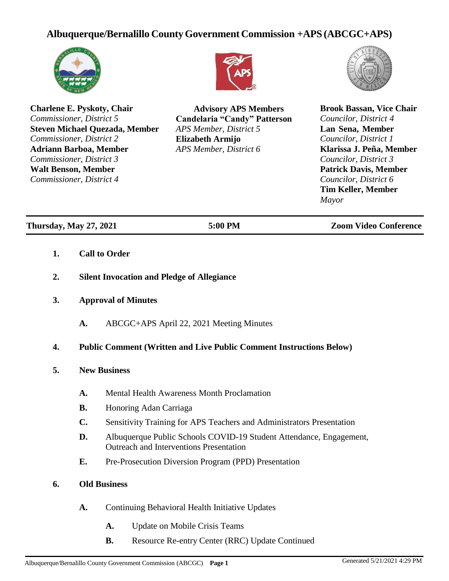## **Albuquerque/Bernalillo CountyGovernment Commission +APS (ABCGC+APS)**



**Charlene E. Pyskoty, Chair** *Commissioner, District 5* **Steven Michael Quezada, Member** *Commissioner, District 2* **Adriann Barboa, Member** *Commissioner, District 3* **Walt Benson, Member** *Commissioner, District 4*



**Advisory APS Members Candelaria "Candy" Patterson** *APS Member, District 5* **Elizabeth Armijo** *APS Member, District 6*



**Brook Bassan, Vice Chair** *Councilor, District 4* **Lan Sena, Member** *Councilor, District 1* **Klarissa J. Peña, Member** *Councilor, District 3* **Patrick Davis, Member** *Councilor, District 6* **Tim Keller, Member** *Mayor*

**Thursday, May 27, 2021 5:00 PM Zoom Video Conference**

- **1. Call to Order**
- **2. Silent Invocation and Pledge of Allegiance**
- **3. Approval of Minutes**
	- **A.** ABCGC+APS April 22, 2021 Meeting Minutes

## **4. Public Comment (Written and Live Public Comment Instructions Below)**

- **5. New Business**
	- **A.** Mental Health Awareness Month Proclamation
	- **B.** Honoring Adan Carriaga
	- **C.** Sensitivity Training for APS Teachers and Administrators Presentation
	- **D.** Albuquerque Public Schools COVID-19 Student Attendance, Engagement, Outreach and Interventions Presentation
	- **E.** Pre-Prosecution Diversion Program (PPD) Presentation

## **6. Old Business**

- **A.** Continuing Behavioral Health Initiative Updates
	- **A.** Update on Mobile Crisis Teams
	- **B.** Resource Re-entry Center (RRC) Update Continued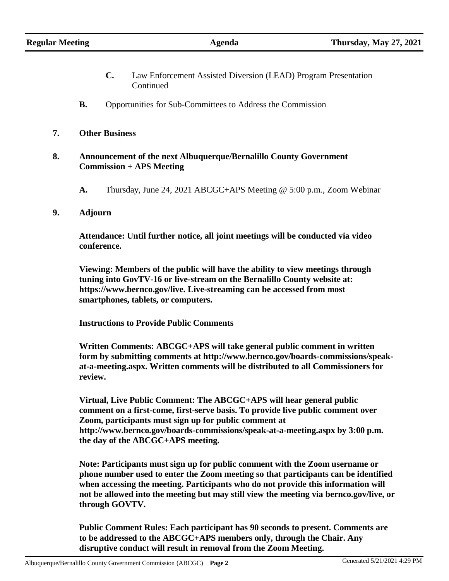- **C.** Law Enforcement Assisted Diversion (LEAD) Program Presentation Continued
- **B.** Opportunities for Sub-Committees to Address the Commission
- **7. Other Business**
- **8. Announcement of the next Albuquerque/Bernalillo County Government Commission + APS Meeting**
	- **A.** Thursday, June 24, 2021 ABCGC+APS Meeting @ 5:00 p.m., Zoom Webinar
- **9. Adjourn**

**Attendance: Until further notice, all joint meetings will be conducted via video conference.**

**Viewing: Members of the public will have the ability to view meetings through tuning into GovTV-16 or live-stream on the Bernalillo County website at: ht[tps://www.](http://www.bernco.gov/live)be[rnco.gov/live.](http://www.bernco.gov/live) Live-streaming can be accessed from most smartphones, tablets, or computers.**

**Instructions to Provide Public Comments**

**Written Comments: ABCGC+APS will take general public comment in written form by submitting comments at [http://www.bernco.gov/boards-commissions/speak](http://www.bernco.gov/boards-commissions/speak-)at-a-meeting.aspx. Written comments will be distributed to all Commissioners for review.**

**Virtual, Live Public Comment: The ABCGC+APS will hear general public comment on a first-come, first-serve basis. To provide live public comment over Zoom, participants must sign up for public comment a[t](http://www.bernco.gov/boards-commissions/speak-at-a-meeting.aspx) <http://www.bernco.gov/boards-commissions/speak-at-a-meeting.aspx> by 3:00 p.m. the day of the ABCGC+APS meeting.**

**Note: Participants must sign up for public comment with the Zoom username or phone number used to enter the Zoom meeting so that participants can be identified when accessing the meeting. Participants who do not provide this information will not be allowed into the meeting but may still view the meeting via bernco.gov/live, or through GOVTV.**

**Public Comment Rules: Each participant has 90 seconds to present. Comments are to be addressed to the ABCGC+APS members only, through the Chair. Any disruptive conduct will result in removal from the Zoom Meeting.**